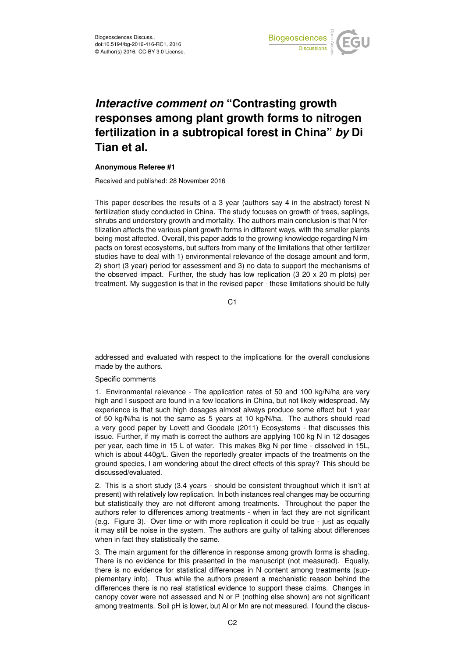

## *Interactive comment on* **"Contrasting growth responses among plant growth forms to nitrogen fertilization in a subtropical forest in China"** *by* **Di Tian et al.**

## **Anonymous Referee #1**

Received and published: 28 November 2016

This paper describes the results of a 3 year (authors say 4 in the abstract) forest N fertilization study conducted in China. The study focuses on growth of trees, saplings, shrubs and understory growth and mortality. The authors main conclusion is that N fertilization affects the various plant growth forms in different ways, with the smaller plants being most affected. Overall, this paper adds to the growing knowledge regarding N impacts on forest ecosystems, but suffers from many of the limitations that other fertilizer studies have to deal with 1) environmental relevance of the dosage amount and form, 2) short (3 year) period for assessment and 3) no data to support the mechanisms of the observed impact. Further, the study has low replication  $(3\ 20 \times 20\ m)$  plots) per treatment. My suggestion is that in the revised paper - these limitations should be fully

C1

addressed and evaluated with respect to the implications for the overall conclusions made by the authors.

## Specific comments

1. Environmental relevance - The application rates of 50 and 100 kg/N/ha are very high and I suspect are found in a few locations in China, but not likely widespread. My experience is that such high dosages almost always produce some effect but 1 year of 50 kg/N/ha is not the same as 5 years at 10 kg/N/ha. The authors should read a very good paper by Lovett and Goodale (2011) Ecosystems - that discusses this issue. Further, if my math is correct the authors are applying 100 kg N in 12 dosages per year, each time in 15 L of water. This makes 8kg N per time - dissolved in 15L, which is about 440g/L. Given the reportedly greater impacts of the treatments on the ground species, I am wondering about the direct effects of this spray? This should be discussed/evaluated.

2. This is a short study (3.4 years - should be consistent throughout which it isn't at present) with relatively low replication. In both instances real changes may be occurring but statistically they are not different among treatments. Throughout the paper the authors refer to differences among treatments - when in fact they are not significant (e.g. Figure 3). Over time or with more replication it could be true - just as equally it may still be noise in the system. The authors are guilty of talking about differences when in fact they statistically the same.

3. The main argument for the difference in response among growth forms is shading. There is no evidence for this presented in the manuscript (not measured). Equally, there is no evidence for statistical differences in N content among treatments (supplementary info). Thus while the authors present a mechanistic reason behind the differences there is no real statistical evidence to support these claims. Changes in canopy cover were not assessed and N or P (nothing else shown) are not significant among treatments. Soil pH is lower, but Al or Mn are not measured. I found the discus